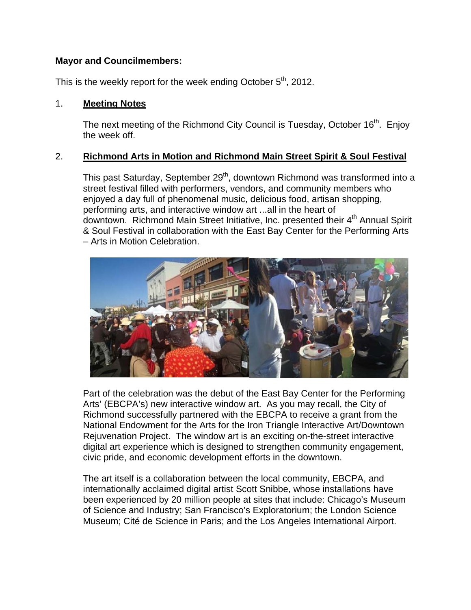### **Mayor and Councilmembers:**

This is the weekly report for the week ending October 5<sup>th</sup>, 2012.

### 1. **Meeting Notes**

The next meeting of the Richmond City Council is Tuesday, October 16<sup>th</sup>. Enjoy the week off.

## 2. **Richmond Arts in Motion and Richmond Main Street Spirit & Soul Festival**

This past Saturday, September 29<sup>th</sup>, downtown Richmond was transformed into a street festival filled with performers, vendors, and community members who enjoyed a day full of phenomenal music, delicious food, artisan shopping, performing arts, and interactive window art ...all in the heart of downtown. Richmond Main Street Initiative, Inc. presented their  $4<sup>th</sup>$  Annual Spirit & Soul Festival in collaboration with the East Bay Center for the Performing Arts – Arts in Motion Celebration.



Part of the celebration was the debut of the East Bay Center for the Performing Arts' (EBCPA's) new interactive window art. As you may recall, the City of Richmond successfully partnered with the EBCPA to receive a grant from the National Endowment for the Arts for the Iron Triangle Interactive Art/Downtown Rejuvenation Project. The window art is an exciting on-the-street interactive digital art experience which is designed to strengthen community engagement, civic pride, and economic development efforts in the downtown.

The art itself is a collaboration between the local community, EBCPA, and internationally acclaimed digital artist Scott Snibbe, whose installations have been experienced by 20 million people at sites that include: Chicago's Museum of Science and Industry; San Francisco's Exploratorium; the London Science Museum; Cité de Science in Paris; and the Los Angeles International Airport.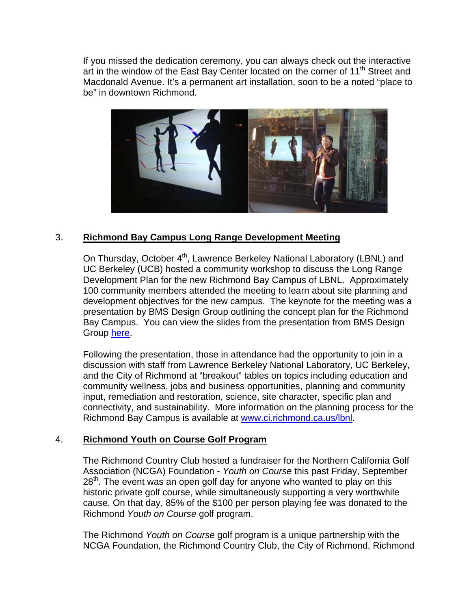If you missed the dedication ceremony, you can always check out the interactive art in the window of the East Bay Center located on the corner of 11<sup>th</sup> Street and Macdonald Avenue. It's a permanent art installation, soon to be a noted "place to be" in downtown Richmond.



## 3. **Richmond Bay Campus Long Range Development Meeting**

On Thursday, October 4<sup>th</sup>, Lawrence Berkeley National Laboratory (LBNL) and UC Berkeley (UCB) hosted a community workshop to discuss the Long Range Development Plan for the new Richmond Bay Campus of LBNL. Approximately 100 community members attended the meeting to learn about site planning and development objectives for the new campus. The keynote for the meeting was a presentation by BMS Design Group outlining the concept plan for the Richmond Bay Campus. You can view the slides from the presentation from BMS Design Group here.

Following the presentation, those in attendance had the opportunity to join in a discussion with staff from Lawrence Berkeley National Laboratory, UC Berkeley, and the City of Richmond at "breakout" tables on topics including education and community wellness, jobs and business opportunities, planning and community input, remediation and restoration, science, site character, specific plan and connectivity, and sustainability. More information on the planning process for the Richmond Bay Campus is available at www.ci.richmond.ca.us/lbnl.

### 4. **Richmond Youth on Course Golf Program**

The Richmond Country Club hosted a fundraiser for the Northern California Golf Association (NCGA) Foundation - *Youth on Course* this past Friday, September  $28<sup>th</sup>$ . The event was an open golf day for anyone who wanted to play on this historic private golf course, while simultaneously supporting a very worthwhile cause. On that day, 85% of the \$100 per person playing fee was donated to the Richmond *Youth on Course* golf program.

The Richmond *Youth on Course* golf program is a unique partnership with the NCGA Foundation, the Richmond Country Club, the City of Richmond, Richmond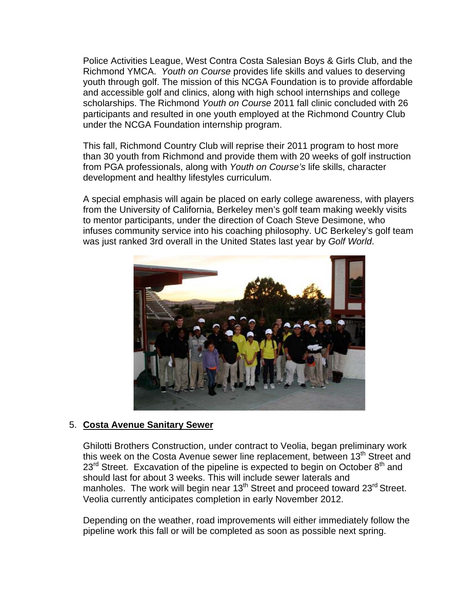Police Activities League, West Contra Costa Salesian Boys & Girls Club, and the Richmond YMCA. *Youth on Course* provides life skills and values to deserving youth through golf. The mission of this NCGA Foundation is to provide affordable and accessible golf and clinics, along with high school internships and college scholarships. The Richmond *Youth on Course* 2011 fall clinic concluded with 26 participants and resulted in one youth employed at the Richmond Country Club under the NCGA Foundation internship program.

This fall, Richmond Country Club will reprise their 2011 program to host more than 30 youth from Richmond and provide them with 20 weeks of golf instruction from PGA professionals, along with *Youth on Course's* life skills, character development and healthy lifestyles curriculum.

A special emphasis will again be placed on early college awareness, with players from the University of California, Berkeley men's golf team making weekly visits to mentor participants, under the direction of Coach Steve Desimone, who infuses community service into his coaching philosophy. UC Berkeley's golf team was just ranked 3rd overall in the United States last year by *Golf World*.



### 5. **Costa Avenue Sanitary Sewer**

Ghilotti Brothers Construction, under contract to Veolia, began preliminary work this week on the Costa Avenue sewer line replacement, between 13<sup>th</sup> Street and  $23<sup>rd</sup>$  Street. Excavation of the pipeline is expected to begin on October  $8<sup>th</sup>$  and should last for about 3 weeks. This will include sewer laterals and manholes. The work will begin near  $13<sup>th</sup>$  Street and proceed toward  $23<sup>rd</sup>$  Street. Veolia currently anticipates completion in early November 2012.

Depending on the weather, road improvements will either immediately follow the pipeline work this fall or will be completed as soon as possible next spring.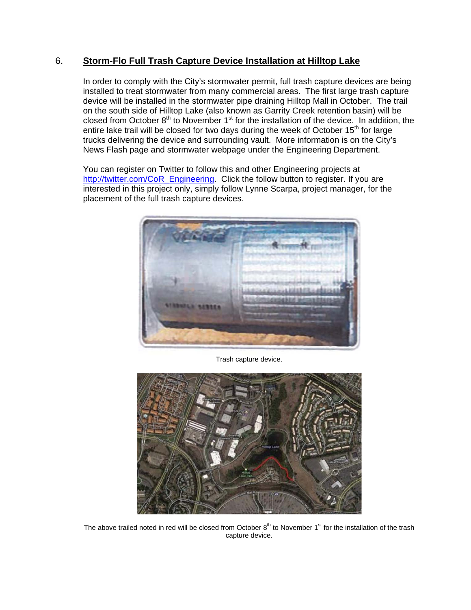### 6. **Storm-Flo Full Trash Capture Device Installation at Hilltop Lake**

In order to comply with the City's stormwater permit, full trash capture devices are being installed to treat stormwater from many commercial areas. The first large trash capture device will be installed in the stormwater pipe draining Hilltop Mall in October. The trail on the south side of Hilltop Lake (also known as Garrity Creek retention basin) will be closed from October  $8<sup>th</sup>$  to November 1<sup>st</sup> for the installation of the device. In addition, the entire lake trail will be closed for two days during the week of October  $15<sup>th</sup>$  for large trucks delivering the device and surrounding vault. More information is on the City's News Flash page and stormwater webpage under the Engineering Department.

You can register on Twitter to follow this and other Engineering projects at http://twitter.com/CoR\_Engineering. Click the follow button to register. If you are interested in this project only, simply follow Lynne Scarpa, project manager, for the placement of the full trash capture devices.



Trash capture device.



The above trailed noted in red will be closed from October  $8<sup>th</sup>$  to November  $1<sup>st</sup>$  for the installation of the trash capture device.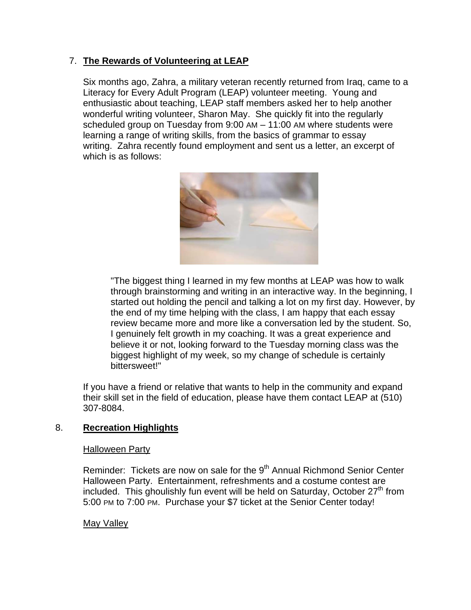## 7. **The Rewards of Volunteering at LEAP**

Six months ago, Zahra, a military veteran recently returned from Iraq, came to a Literacy for Every Adult Program (LEAP) volunteer meeting. Young and enthusiastic about teaching, LEAP staff members asked her to help another wonderful writing volunteer, Sharon May. She quickly fit into the regularly scheduled group on Tuesday from 9:00 AM – 11:00 AM where students were learning a range of writing skills, from the basics of grammar to essay writing. Zahra recently found employment and sent us a letter, an excerpt of which is as follows:



"The biggest thing I learned in my few months at LEAP was how to walk through brainstorming and writing in an interactive way. In the beginning, I started out holding the pencil and talking a lot on my first day. However, by the end of my time helping with the class, I am happy that each essay review became more and more like a conversation led by the student. So, I genuinely felt growth in my coaching. It was a great experience and believe it or not, looking forward to the Tuesday morning class was the biggest highlight of my week, so my change of schedule is certainly bittersweet!"

If you have a friend or relative that wants to help in the community and expand their skill set in the field of education, please have them contact LEAP at (510) 307-8084.

## 8. **Recreation Highlights**

### Halloween Party

Reminder: Tickets are now on sale for the 9<sup>th</sup> Annual Richmond Senior Center Halloween Party. Entertainment, refreshments and a costume contest are included. This ghoulishly fun event will be held on Saturday, October  $27<sup>th</sup>$  from 5:00 PM to 7:00 PM. Purchase your \$7 ticket at the Senior Center today!

### May Valley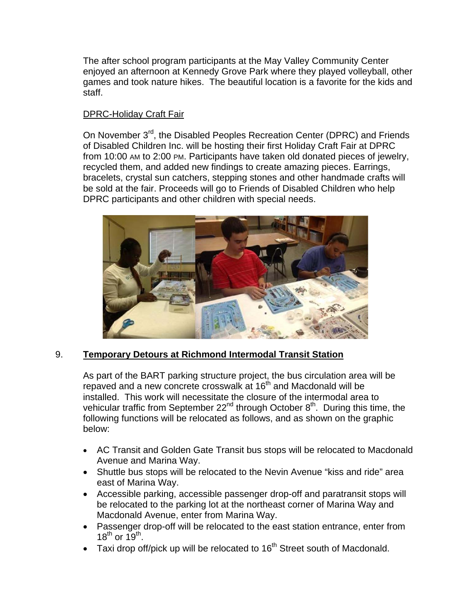The after school program participants at the May Valley Community Center enjoyed an afternoon at Kennedy Grove Park where they played volleyball, other games and took nature hikes. The beautiful location is a favorite for the kids and staff.

## DPRC-Holiday Craft Fair

On November 3<sup>rd</sup>, the Disabled Peoples Recreation Center (DPRC) and Friends of Disabled Children Inc. will be hosting their first Holiday Craft Fair at DPRC from 10:00 AM to 2:00 PM. Participants have taken old donated pieces of jewelry, recycled them, and added new findings to create amazing pieces. Earrings, bracelets, crystal sun catchers, stepping stones and other handmade crafts will be sold at the fair. Proceeds will go to Friends of Disabled Children who help DPRC participants and other children with special needs.



## 9. **Temporary Detours at Richmond Intermodal Transit Station**

As part of the BART parking structure project, the bus circulation area will be repaved and a new concrete crosswalk at 16<sup>th</sup> and Macdonald will be installed. This work will necessitate the closure of the intermodal area to vehicular traffic from September  $22<sup>nd</sup>$  through October  $8<sup>th</sup>$ . During this time, the following functions will be relocated as follows, and as shown on the graphic below:

- AC Transit and Golden Gate Transit bus stops will be relocated to Macdonald Avenue and Marina Way.
- Shuttle bus stops will be relocated to the Nevin Avenue "kiss and ride" area east of Marina Way.
- Accessible parking, accessible passenger drop-off and paratransit stops will be relocated to the parking lot at the northeast corner of Marina Way and Macdonald Avenue, enter from Marina Way.
- Passenger drop-off will be relocated to the east station entrance, enter from  $18^{th}$  or  $19^{th}$ .
- Taxi drop off/pick up will be relocated to 16<sup>th</sup> Street south of Macdonald.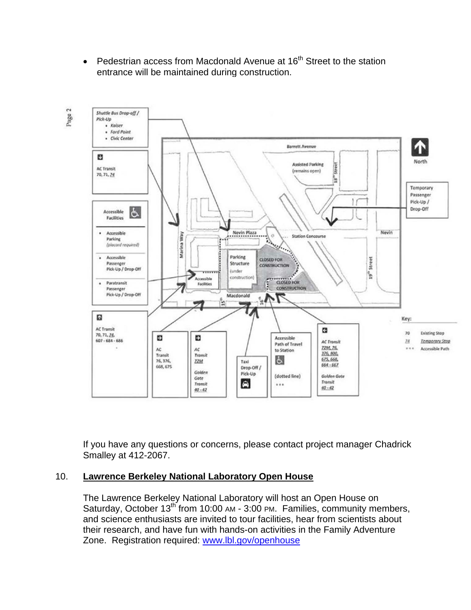• Pedestrian access from Macdonald Avenue at  $16<sup>th</sup>$  Street to the station entrance will be maintained during construction.



If you have any questions or concerns, please contact project manager Chadrick Smalley at 412-2067.

### 10. **Lawrence Berkeley National Laboratory Open House**

The Lawrence Berkeley National Laboratory will host an Open House on Saturday, October  $13^{th}$  from 10:00 AM - 3:00 PM. Families, community members, and science enthusiasts are invited to tour facilities, hear from scientists about their research, and have fun with hands-on activities in the Family Adventure Zone. Registration required: www.lbl.gov/openhouse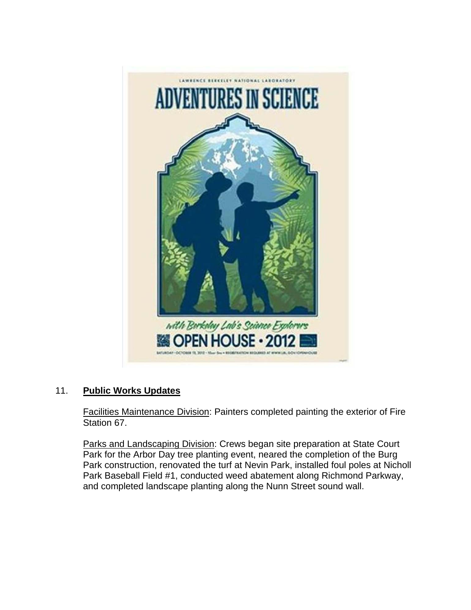

# 11. **Public Works Updates**

Facilities Maintenance Division: Painters completed painting the exterior of Fire Station 67.

Parks and Landscaping Division: Crews began site preparation at State Court Park for the Arbor Day tree planting event, neared the completion of the Burg Park construction, renovated the turf at Nevin Park, installed foul poles at Nicholl Park Baseball Field #1, conducted weed abatement along Richmond Parkway, and completed landscape planting along the Nunn Street sound wall.